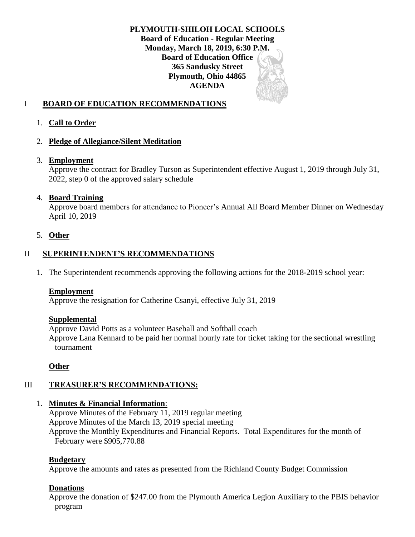**PLYMOUTH-SHILOH LOCAL SCHOOLS Board of Education - Regular Meeting Monday, March 18, 2019, 6:30 P.M. Board of Education Office 365 Sandusky Street Plymouth, Ohio 44865 AGENDA**

# I **BOARD OF EDUCATION RECOMMENDATIONS**

## 1. **Call to Order**

### 2. **Pledge of Allegiance/Silent Meditation**

#### 3. **Employment**

Approve the contract for Bradley Turson as Superintendent effective August 1, 2019 through July 31, 2022, step 0 of the approved salary schedule

### 4. **Board Training**

Approve board members for attendance to Pioneer's Annual All Board Member Dinner on Wednesday April 10, 2019

### 5. **Other**

## II **SUPERINTENDENT'S RECOMMENDATIONS**

1. The Superintendent recommends approving the following actions for the 2018-2019 school year:

#### **Employment**

Approve the resignation for Catherine Csanyi, effective July 31, 2019

#### **Supplemental**

Approve David Potts as a volunteer Baseball and Softball coach Approve Lana Kennard to be paid her normal hourly rate for ticket taking for the sectional wrestling tournament

## **Other**

## III **TREASURER'S RECOMMENDATIONS:**

## 1. **Minutes & Financial Information**:

Approve Minutes of the February 11, 2019 regular meeting Approve Minutes of the March 13, 2019 special meeting Approve the Monthly Expenditures and Financial Reports. Total Expenditures for the month of February were \$905,770.88

## **Budgetary**

Approve the amounts and rates as presented from the Richland County Budget Commission

## **Donations**

Approve the donation of \$247.00 from the Plymouth America Legion Auxiliary to the PBIS behavior program